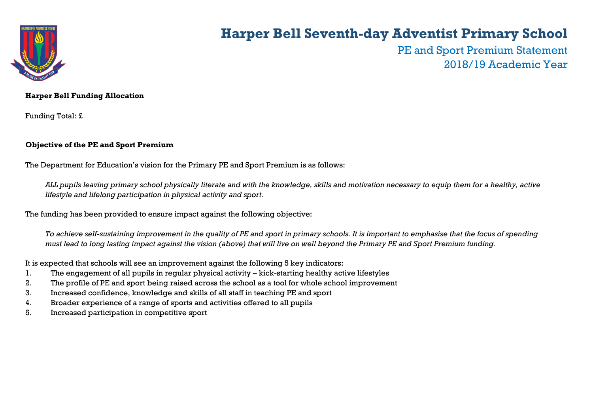

## **Harper Bell Seventh-day Adventist Primary School**

PE and Sport Premium Statement 2018/19 Academic Year

### **Harper Bell Funding Allocation**

Funding Total: £

### **Objective of the PE and Sport Premium**

The Department for Education's vision for the Primary PE and Sport Premium is as follows:

*ALL pupils leaving primary school physically literate and with the knowledge, skills and motivation necessary to equip them for a healthy, active lifestyle and lifelong participation in physical activity and sport.*

The funding has been provided to ensure impact against the following objective:

*To achieve self-sustaining improvement in the quality of PE and sport in primary schools. It is important to emphasise that the focus of spending must lead to long lasting impact against the vision (above) that will live on well beyond the Primary PE and Sport Premium funding.* 

It is expected that schools will see an improvement against the following 5 key indicators:

- 1. The engagement of all pupils in regular physical activity kick-starting healthy active lifestyles
- 2. The profile of PE and sport being raised across the school as a tool for whole school improvement
- 3. Increased confidence, knowledge and skills of all staff in teaching PE and sport
- 4. Broader experience of a range of sports and activities offered to all pupils
- 5. Increased participation in competitive sport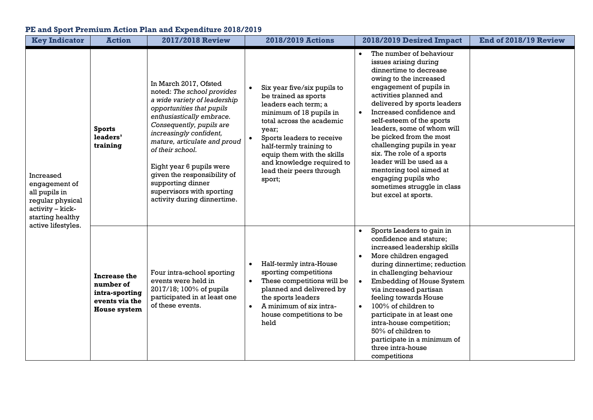## **PE and Sport Premium Action Plan and Expenditure 2018/2019**

| <b>Key Indicator</b>                                                                                                          | <b>Action</b>                                                                        | <b>2017/2018 Review</b>                                                                                                                                                                                                                                                                                                                                                                              | <b>2018/2019 Actions</b>                                                                                                                                                                                                                                                                              | 2018/2019 Desired Impact                                                                                                                                                                                                                                                                                                                                                                                                                                                                                   | End of 2018/19 Review |
|-------------------------------------------------------------------------------------------------------------------------------|--------------------------------------------------------------------------------------|------------------------------------------------------------------------------------------------------------------------------------------------------------------------------------------------------------------------------------------------------------------------------------------------------------------------------------------------------------------------------------------------------|-------------------------------------------------------------------------------------------------------------------------------------------------------------------------------------------------------------------------------------------------------------------------------------------------------|------------------------------------------------------------------------------------------------------------------------------------------------------------------------------------------------------------------------------------------------------------------------------------------------------------------------------------------------------------------------------------------------------------------------------------------------------------------------------------------------------------|-----------------------|
| Increased<br>engagement of<br>all pupils in<br>regular physical<br>activity - kick-<br>starting healthy<br>active lifestyles. | <b>Sports</b><br>leaders'<br>training                                                | In March 2017, Ofsted<br>noted: The school provides<br>a wide variety of leadership<br>opportunities that pupils<br>enthusiastically embrace.<br>Consequently, pupils are<br>increasingly confident,<br>mature, articulate and proud<br>of their school.<br>Eight year 6 pupils were<br>given the responsibility of<br>supporting dinner<br>supervisors with sporting<br>activity during dinnertime. | Six year five/six pupils to<br>be trained as sports<br>leaders each term; a<br>minimum of 18 pupils in<br>total across the academic<br>year;<br>Sports leaders to receive<br>half-termly training to<br>equip them with the skills<br>and knowledge required to<br>lead their peers through<br>sport; | The number of behaviour<br>issues arising during<br>dinnertime to decrease<br>owing to the increased<br>engagement of pupils in<br>activities planned and<br>delivered by sports leaders<br>Increased confidence and<br>self-esteem of the sports<br>leaders, some of whom will<br>be picked from the most<br>challenging pupils in year<br>six. The role of a sports<br>leader will be used as a<br>mentoring tool aimed at<br>engaging pupils who<br>sometimes struggle in class<br>but excel at sports. |                       |
|                                                                                                                               | Increase the<br>number of<br>intra-sporting<br>events via the<br><b>House system</b> | Four intra-school sporting<br>events were held in<br>2017/18; 100% of pupils<br>participated in at least one<br>of these events.                                                                                                                                                                                                                                                                     | Half-termly intra-House<br>$\bullet$<br>sporting competitions<br>These competitions will be<br>$\bullet$<br>planned and delivered by<br>the sports leaders<br>A minimum of six intra-<br>$\bullet$<br>house competitions to be<br>held                                                                | Sports Leaders to gain in<br>confidence and stature;<br>increased leadership skills<br>More children engaged<br>during dinnertime; reduction<br>in challenging behaviour<br>Embedding of House System<br>via increased partisan<br>feeling towards House<br>100% of children to<br>$\bullet$<br>participate in at least one<br>intra-house competition;<br>50% of children to<br>participate in a minimum of<br>three intra-house<br>competitions                                                          |                       |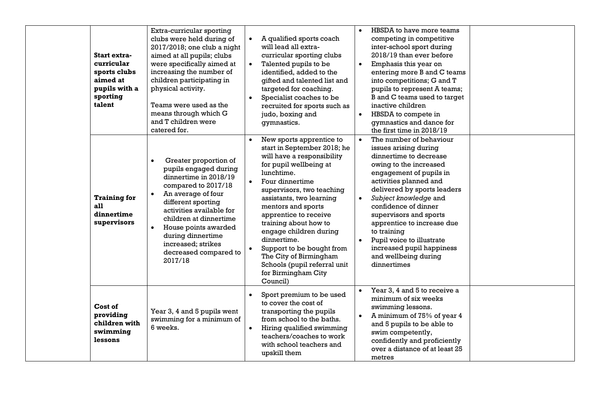| Start extra-<br>curricular<br>sports clubs<br>aimed at<br>pupils with a<br>sporting<br>talent | Extra-curricular sporting<br>clubs were held during of<br>2017/2018; one club a night<br>aimed at all pupils; clubs<br>were specifically aimed at<br>increasing the number of<br>children participating in<br>physical activity.<br>Teams were used as the<br>means through which G<br>and T children were<br>catered for. | $\bullet$              | A qualified sports coach<br>will lead all extra-<br>curricular sporting clubs<br>Talented pupils to be<br>identified, added to the<br>gifted and talented list and<br>targeted for coaching.<br>Specialist coaches to be<br>recruited for sports such as<br>judo, boxing and<br>gymnastics.                                                                                                                                                          | $\bullet$<br>$\bullet$ | HBSDA to have more teams<br>competing in competitive<br>inter-school sport during<br>2018/19 than ever before<br>Emphasis this year on<br>entering more B and C teams<br>into competitions; G and T<br>pupils to represent A teams;<br>B and C teams used to target<br>inactive children<br>HBSDA to compete in<br>gymnastics and dance for<br>the first time in 2018/19                                          |  |
|-----------------------------------------------------------------------------------------------|----------------------------------------------------------------------------------------------------------------------------------------------------------------------------------------------------------------------------------------------------------------------------------------------------------------------------|------------------------|------------------------------------------------------------------------------------------------------------------------------------------------------------------------------------------------------------------------------------------------------------------------------------------------------------------------------------------------------------------------------------------------------------------------------------------------------|------------------------|-------------------------------------------------------------------------------------------------------------------------------------------------------------------------------------------------------------------------------------------------------------------------------------------------------------------------------------------------------------------------------------------------------------------|--|
| <b>Training for</b><br>all<br>dinnertime<br>supervisors                                       | Greater proportion of<br>pupils engaged during<br>dinnertime in 2018/19<br>compared to 2017/18<br>An average of four<br>different sporting<br>activities available for<br>children at dinnertime<br>House points awarded<br>during dinnertime<br>increased; strikes<br>decreased compared to<br>2017/18                    | $\bullet$              | New sports apprentice to<br>start in September 2018; he<br>will have a responsibility<br>for pupil wellbeing at<br>lunchtime.<br>Four dinnertime<br>supervisors, two teaching<br>assistants, two learning<br>mentors and sports<br>apprentice to receive<br>training about how to<br>engage children during<br>dinnertime.<br>Support to be bought from<br>The City of Birmingham<br>Schools (pupil referral unit<br>for Birmingham City<br>Council) | $\bullet$              | The number of behaviour<br>issues arising during<br>dinnertime to decrease<br>owing to the increased<br>engagement of pupils in<br>activities planned and<br>delivered by sports leaders<br>Subject knowledge and<br>confidence of dinner<br>supervisors and sports<br>apprentice to increase due<br>to training<br>Pupil voice to illustrate<br>increased pupil happiness<br>and wellbeing during<br>dinnertimes |  |
| Cost of<br>providing<br>children with<br>swimming<br>lessons                                  | Year 3, 4 and 5 pupils went<br>swimming for a minimum of<br>6 weeks.                                                                                                                                                                                                                                                       | $\bullet$<br>$\bullet$ | Sport premium to be used<br>to cover the cost of<br>transporting the pupils<br>from school to the baths.<br>Hiring qualified swimming<br>teachers/coaches to work<br>with school teachers and<br>upskill them                                                                                                                                                                                                                                        | $\bullet$              | Year 3, 4 and 5 to receive a<br>minimum of six weeks<br>swimming lessons.<br>A minimum of 75% of year 4<br>and 5 pupils to be able to<br>swim competently,<br>confidently and proficiently<br>over a distance of at least 25<br>metres                                                                                                                                                                            |  |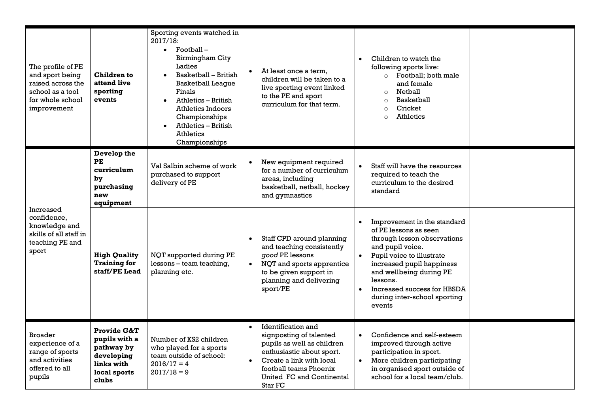| The profile of PE<br>and sport being<br>raised across the<br>school as a tool<br>for whole school<br>improvement | Children to<br>attend live<br>sporting<br>events                                                           | Sporting events watched in<br>2017/18:<br>$\bullet$ Football -<br>Birmingham City<br>Ladies<br>Basketball - British<br>$\bullet$<br><b>Basketball League</b><br>Finals<br>Athletics - British<br>$\bullet$<br>Athletics Indoors<br>Championships<br>Athletics - British<br><b>Athletics</b><br>Championships |           | At least once a term,<br>children will be taken to a<br>live sporting event linked<br>to the PE and sport<br>curriculum for that term.                                                                 | Children to watch the<br>following sports live:<br>o Football; both male<br>and female<br>Netball<br>$\circ$<br><b>Basketball</b><br>$\circ$<br>Cricket<br>$\Omega$<br><b>Athletics</b><br>$\circ$                                                                                |  |
|------------------------------------------------------------------------------------------------------------------|------------------------------------------------------------------------------------------------------------|--------------------------------------------------------------------------------------------------------------------------------------------------------------------------------------------------------------------------------------------------------------------------------------------------------------|-----------|--------------------------------------------------------------------------------------------------------------------------------------------------------------------------------------------------------|-----------------------------------------------------------------------------------------------------------------------------------------------------------------------------------------------------------------------------------------------------------------------------------|--|
| Increased<br>confidence.<br>knowledge and<br>skills of all staff in<br>teaching PE and<br>sport                  | Develop the<br><b>PE</b><br>curriculum<br>by<br>purchasing<br>new<br>equipment                             | Val Salbin scheme of work<br>purchased to support<br>delivery of PE                                                                                                                                                                                                                                          |           | New equipment required<br>for a number of curriculum<br>areas, including<br>basketball, netball, hockey<br>and gymnastics                                                                              | Staff will have the resources<br>required to teach the<br>curriculum to the desired<br>standard                                                                                                                                                                                   |  |
|                                                                                                                  | <b>High Quality</b><br><b>Training for</b><br>staff/PE Lead                                                | NQT supported during PE<br>lessons - team teaching,<br>planning etc.                                                                                                                                                                                                                                         |           | Staff CPD around planning<br>and teaching consistently<br>good PE lessons<br>NQT and sports apprentice<br>to be given support in<br>planning and delivering<br>sport/PE                                | Improvement in the standard<br>of PE lessons as seen<br>through lesson observations<br>and pupil voice.<br>Pupil voice to illustrate<br>increased pupil happiness<br>and wellbeing during PE<br>lessons.<br>Increased success for HBSDA<br>during inter-school sporting<br>events |  |
| <b>Broader</b><br>experience of a<br>range of sports<br>and activities<br>offered to all<br>pupils               | <b>Provide G&amp;T</b><br>pupils with a<br>pathway by<br>developing<br>links with<br>local sports<br>clubs | Number of KS2 children<br>who played for a sports<br>team outside of school:<br>$2016/17 = 4$<br>$2017/18=9$                                                                                                                                                                                                 | $\bullet$ | Identification and<br>signposting of talented<br>pupils as well as children<br>enthusiastic about sport.<br>Create a link with local<br>football teams Phoenix<br>United FC and Continental<br>Star FC | Confidence and self-esteem<br>improved through active<br>participation in sport.<br>More children participating<br>in organised sport outside of<br>school for a local team/club.                                                                                                 |  |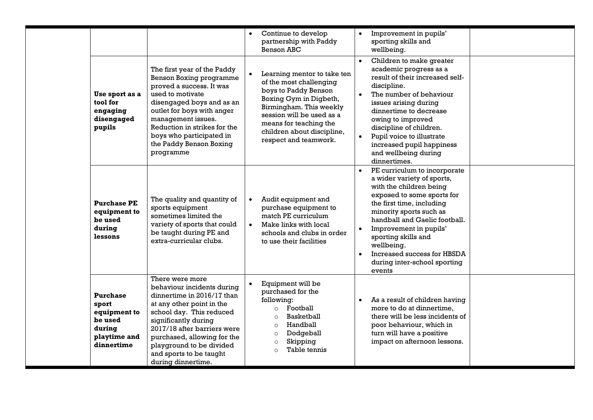|                                                                                             |                                                                                                                                                                                                                                                                                                         | Continue to develop<br>partnership with Paddy<br><b>Benson ABC</b>                                                                                                                                                                                             | Improvement in pupils'<br>$\bullet$<br>sporting skills and<br>wellbeing.                                                                                                                                                                                                                                                                                                                    |  |
|---------------------------------------------------------------------------------------------|---------------------------------------------------------------------------------------------------------------------------------------------------------------------------------------------------------------------------------------------------------------------------------------------------------|----------------------------------------------------------------------------------------------------------------------------------------------------------------------------------------------------------------------------------------------------------------|---------------------------------------------------------------------------------------------------------------------------------------------------------------------------------------------------------------------------------------------------------------------------------------------------------------------------------------------------------------------------------------------|--|
| Use sport as a<br>tool for<br>engaging<br>disengaged<br>pupils                              | The first year of the Paddy<br><b>Benson Boxing programme</b><br>proved a success. It was<br>used to motivate<br>disengaged boys and as an<br>outlet for boys with anger<br>management issues.<br>Reduction in strikes for the<br>boys who participated in<br>the Paddy Benson Boxing<br>programme      | Learning mentor to take ten<br>$\bullet$<br>of the most challenging<br>boys to Paddy Benson<br>Boxing Gym in Digbeth,<br>Birmingham. This weekly<br>session will be used as a<br>means for teaching the<br>children about discipline,<br>respect and teamwork. | Children to make greater<br>$\bullet$<br>academic progress as a<br>result of their increased self-<br>discipline.<br>The number of behaviour<br>issues arising during<br>dinnertime to decrease<br>owing to improved<br>discipline of children.<br>Pupil voice to illustrate<br>$\bullet$<br>increased pupil happiness<br>and wellbeing during<br>dinnertimes.                              |  |
| <b>Purchase PE</b><br>equipment to<br>be used<br>during<br>lessons                          | The quality and quantity of<br>sports equipment<br>sometimes limited the<br>variety of sports that could<br>be taught during PE and<br>extra-curricular clubs.                                                                                                                                          | Audit equipment and<br>purchase equipment to<br>match PE curriculum<br>Make links with local<br>$\bullet$<br>schools and clubs in order<br>to use their facilities                                                                                             | PE curriculum to incorporate<br>$\bullet$<br>a wider variety of sports,<br>with the children being<br>exposed to some sports for<br>the first time, including<br>minority sports such as<br>handball and Gaelic football.<br>Improvement in pupils'<br>$\bullet$<br>sporting skills and<br>wellbeing.<br>Increased success for HBSDA<br>$\bullet$<br>during inter-school sporting<br>events |  |
| <b>Purchase</b><br>sport<br>equipment to<br>be used<br>during<br>playtime and<br>dinnertime | There were more<br>behaviour incidents during<br>dinnertime in 2016/17 than<br>at any other point in the<br>school day. This reduced<br>significantly during<br>2017/18 after barriers were<br>purchased, allowing for the<br>playground to be divided<br>and sports to be taught<br>during dinnertime. | Equipment will be<br>purchased for the<br>following:<br>o Football<br><b>Basketball</b><br>Handball<br>$\Omega$<br>Dodgeball<br>$\circ$<br>Skipping<br>$\circ$<br>Table tennis<br>$\circ$                                                                      | As a result of children having<br>$\bullet$<br>more to do at dinnertime.<br>there will be less incidents of<br>poor behaviour, which in<br>turn will have a positive<br>impact on afternoon lessons.                                                                                                                                                                                        |  |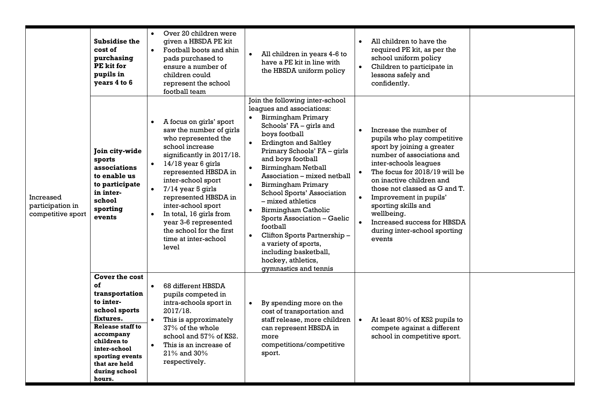|                                                    | <b>Subsidise the</b><br>cost of<br>purchasing<br>PE kit for<br>pupils in<br>years 4 to 6                                                                                                                                       | Over 20 children were<br>$\bullet$<br>given a HBSDA PE kit<br>Football boots and shin<br>$\bullet$<br>pads purchased to<br>ensure a number of<br>children could<br>represent the school<br>football team                                                                                                                                                                                                     | All children in years 4-6 to<br>$\bullet$<br>have a PE kit in line with<br>the HBSDA uniform policy                                                                                                                                                                                                                                                                                                                                                                                                                                                                                                                          | All children to have the<br>$\bullet$<br>required PE kit, as per the<br>school uniform policy<br>Children to participate in<br>lessons safely and<br>confidently.                                                                                                                                                                                                                                          |
|----------------------------------------------------|--------------------------------------------------------------------------------------------------------------------------------------------------------------------------------------------------------------------------------|--------------------------------------------------------------------------------------------------------------------------------------------------------------------------------------------------------------------------------------------------------------------------------------------------------------------------------------------------------------------------------------------------------------|------------------------------------------------------------------------------------------------------------------------------------------------------------------------------------------------------------------------------------------------------------------------------------------------------------------------------------------------------------------------------------------------------------------------------------------------------------------------------------------------------------------------------------------------------------------------------------------------------------------------------|------------------------------------------------------------------------------------------------------------------------------------------------------------------------------------------------------------------------------------------------------------------------------------------------------------------------------------------------------------------------------------------------------------|
| Increased<br>participation in<br>competitive sport | Join city-wide<br>sports<br>associations<br>to enable us<br>to participate<br>in inter-<br>school<br>sporting<br>events                                                                                                        | A focus on girls' sport<br>$\bullet$<br>saw the number of girls<br>who represented the<br>school increase<br>significantly in 2017/18.<br>14/18 year 6 girls<br>represented HBSDA in<br>inter-school sport<br>$7/14$ year 5 girls<br>represented HBSDA in<br>inter-school sport<br>In total, 16 girls from<br>$\bullet$<br>year 3-6 represented<br>the school for the first<br>time at inter-school<br>level | Join the following inter-school<br>leagues and associations:<br>• Birmingham Primary<br>Schools' FA - girls and<br>boys football<br><b>Erdington and Saltley</b><br>$\bullet$<br>Primary Schools' FA - girls<br>and boys football<br><b>Birmingham Netball</b><br>$\bullet$<br>Association - mixed netball<br>Birmingham Primary<br>$\bullet$<br>School Sports' Association<br>– mixed athletics<br>Birmingham Catholic<br>$\bullet$<br>Sports Association - Gaelic<br>football<br>Clifton Sports Partnership -<br>$\bullet$<br>a variety of sports,<br>including basketball,<br>hockey, athletics,<br>gymnastics and tennis | Increase the number of<br>pupils who play competitive<br>sport by joining a greater<br>number of associations and<br>inter-schools leagues<br>The focus for 2018/19 will be<br>$\bullet$<br>on inactive children and<br>those not classed as G and T.<br>Improvement in pupils'<br>$\bullet$<br>sporting skills and<br>wellbeing.<br>Increased success for HBSDA<br>during inter-school sporting<br>events |
|                                                    | <b>Cover the cost</b><br>of<br>transportation<br>to inter-<br>school sports<br>fixtures.<br><b>Release staff to</b><br>accompany<br>children to<br>inter-school<br>sporting events<br>that are held<br>during school<br>hours. | 68 different HBSDA<br>$\bullet$<br>pupils competed in<br>intra-schools sport in<br>2017/18.<br>This is approximately<br>$\bullet$<br>37% of the whole<br>school and 57% of KS2.<br>This is an increase of<br>$\bullet$<br>21% and 30%<br>respectively.                                                                                                                                                       | By spending more on the<br>$\bullet$<br>cost of transportation and<br>staff release, more children<br>can represent HBSDA in<br>more<br>competitions/competitive<br>sport.                                                                                                                                                                                                                                                                                                                                                                                                                                                   | At least 80% of KS2 pupils to<br>compete against a different<br>school in competitive sport.                                                                                                                                                                                                                                                                                                               |